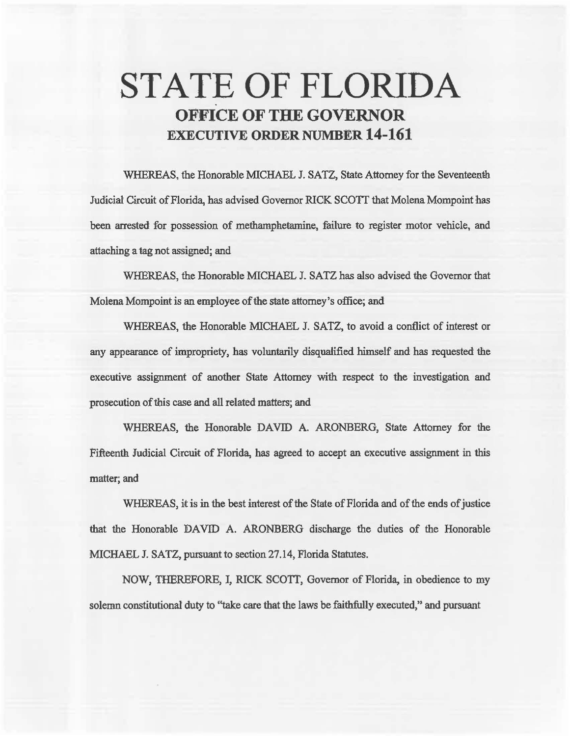# STATE OF FLORIDA OFFICE OF THE GOVERNOR EXECUTIVE ORDER NUMBER 14-161

WHEREAS, the Honorable MICHAEL J. SATZ, State Attorney for the Seventeenth Judicial Circuit of Florida, has advised Governor RICK SCOTI that Molena Mompoint has been arrested for possession of methamphetamine. failure to register motor vehicle, and attaching a 1ag not assigned; and

WHEREAS, the Honorable MICHAEL J. SATZ has also advised the Governor that Molena Mompoint is an employee of the state attorney's office; and

WHEREAS, the Honorable MICHAEL J. SATZ, to avoid a conflict of interest or any appearance of impropriety, has voluntarily disqualified himself and has requested the executive assignment of another State Attorney with respect to the investigation and prosecution of this case and all related matters; and

WHEREAS, the Honorable DAVID A. ARONBERG, State Attorney for the Fifteenth Judicial Circuit of Florida, has agreed to accept an executive assignment in this matter; and

WHEREAS, it is in the best interest of the State of Florida and of the ends of justice that the Honorable DAVID A. ARONBERG discharge the duties of the Honorable MICHAEL J. SATZ, pursuant to section 27.14, Florida Statutes.

NOW, THEREFORE, I, RICK SCOTT, Governor of Florida, in obedience to my solemn constitutional duty to "take care that the laws be faithfully executed," and pursuant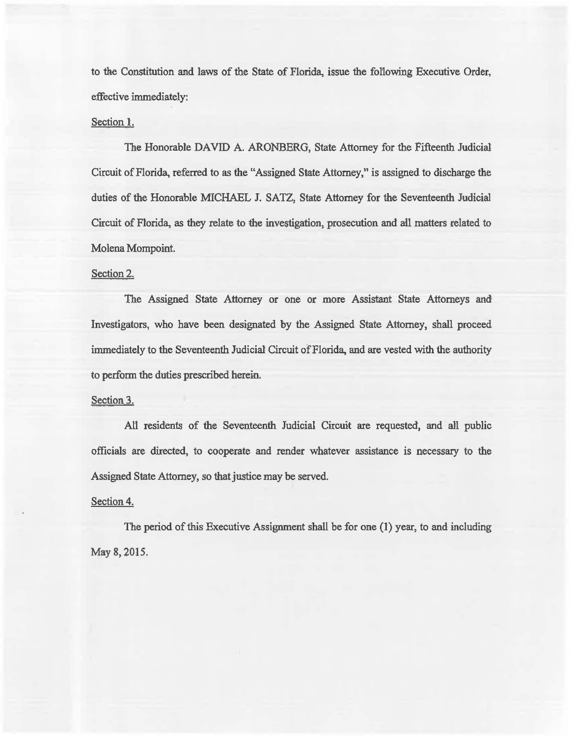to the Constitution and laws of the State of Florida, issue the fol1owing Executive Order, effective immediately:

#### Section l.

The Honorable DAVID A. ARONBERG, State Attorney for the Fifteenth Judicial Circuit of Florida, referred to as the "Assigned State Attorney," is assigned to discharge the duties of the Honorable MICHAEL J. SATZ, State Attorney for the Seventeenth Judicial Circuit of Florida, as they relate to the investigation, prosecution and all matters related to Molena Mompoint.

### Section 2.

The Assigned State Attorney or one or more Assistant State Attorneys and Investigators, who have been designated by the Assigned State Attorney, shall proceed immediately to the Seventeenth Judicial Circuit of Florida, and are vested with the authority to perfonn the duties prescribed herein.

#### Section 3.

All residents of the Seventeenth Judicial Circuit are requested, and all public officials are directed, to cooperate and render whatever assistance is necessary to the Assigned State Attorney, so that justice may be served.

#### Section 4.

The period of this Executive Assignment shall be for one (1) year, to and including May 8, 2015.